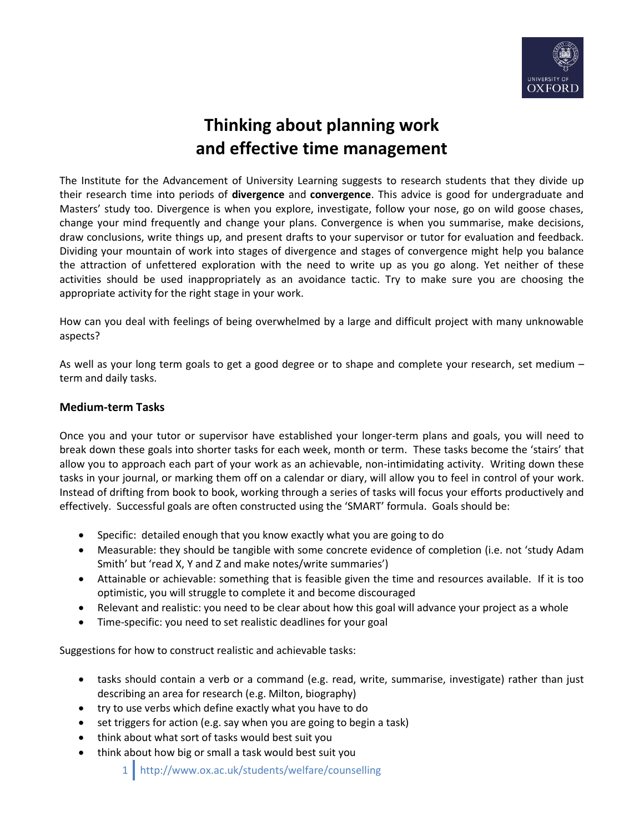

## **Thinking about planning work and effective time management**

The Institute for the Advancement of University Learning suggests to research students that they divide up their research time into periods of **divergence** and **convergence**. This advice is good for undergraduate and Masters' study too. Divergence is when you explore, investigate, follow your nose, go on wild goose chases, change your mind frequently and change your plans. Convergence is when you summarise, make decisions, draw conclusions, write things up, and present drafts to your supervisor or tutor for evaluation and feedback. Dividing your mountain of work into stages of divergence and stages of convergence might help you balance the attraction of unfettered exploration with the need to write up as you go along. Yet neither of these activities should be used inappropriately as an avoidance tactic. Try to make sure you are choosing the appropriate activity for the right stage in your work.

How can you deal with feelings of being overwhelmed by a large and difficult project with many unknowable aspects?

As well as your long term goals to get a good degree or to shape and complete your research, set medium – term and daily tasks.

## **Medium-term Tasks**

Once you and your tutor or supervisor have established your longer-term plans and goals, you will need to break down these goals into shorter tasks for each week, month or term. These tasks become the 'stairs' that allow you to approach each part of your work as an achievable, non-intimidating activity. Writing down these tasks in your journal, or marking them off on a calendar or diary, will allow you to feel in control of your work. Instead of drifting from book to book, working through a series of tasks will focus your efforts productively and effectively. Successful goals are often constructed using the 'SMART' formula. Goals should be:

- Specific: detailed enough that you know exactly what you are going to do
- Measurable: they should be tangible with some concrete evidence of completion (i.e. not 'study Adam Smith' but 'read X, Y and Z and make notes/write summaries')
- Attainable or achievable: something that is feasible given the time and resources available. If it is too optimistic, you will struggle to complete it and become discouraged
- Relevant and realistic: you need to be clear about how this goal will advance your project as a whole
- Time-specific: you need to set realistic deadlines for your goal

Suggestions for how to construct realistic and achievable tasks:

- tasks should contain a verb or a command (e.g. read, write, summarise, investigate) rather than just describing an area for research (e.g. Milton, biography)
- try to use verbs which define exactly what you have to do
- set triggers for action (e.g. say when you are going to begin a task)
- think about what sort of tasks would best suit you
- think about how big or small a task would best suit you

1 http://www.ox.ac.uk/students/welfare/counselling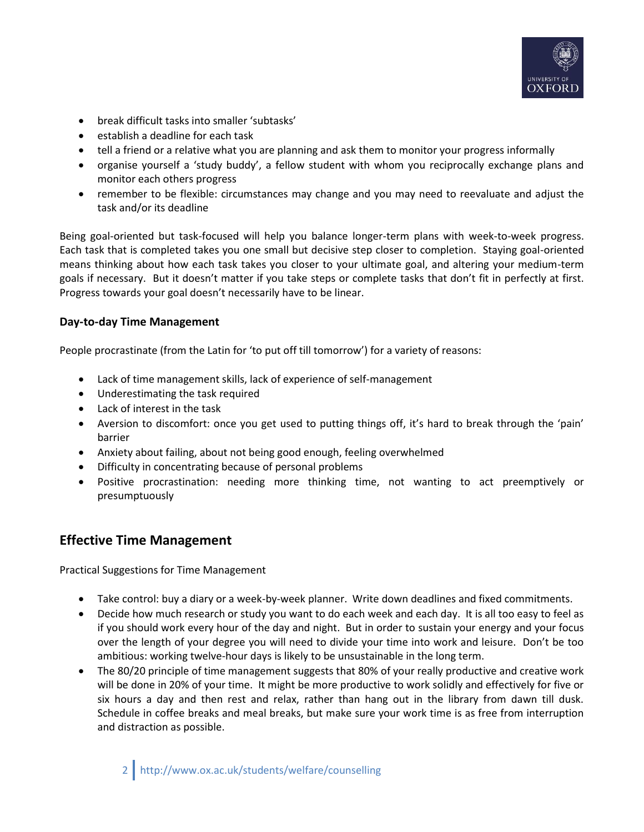

- break difficult tasks into smaller 'subtasks'
- $\bullet$  establish a deadline for each task
- tell a friend or a relative what you are planning and ask them to monitor your progress informally
- organise yourself a 'study buddy', a fellow student with whom you reciprocally exchange plans and monitor each others progress
- remember to be flexible: circumstances may change and you may need to reevaluate and adjust the task and/or its deadline

Being goal-oriented but task-focused will help you balance longer-term plans with week-to-week progress. Each task that is completed takes you one small but decisive step closer to completion. Staying goal-oriented means thinking about how each task takes you closer to your ultimate goal, and altering your medium-term goals if necessary. But it doesn't matter if you take steps or complete tasks that don't fit in perfectly at first. Progress towards your goal doesn't necessarily have to be linear.

## **Day-to-day Time Management**

People procrastinate (from the Latin for 'to put off till tomorrow') for a variety of reasons:

- Lack of time management skills, lack of experience of self-management
- Underestimating the task required
- Lack of interest in the task
- Aversion to discomfort: once you get used to putting things off, it's hard to break through the 'pain' barrier
- Anxiety about failing, about not being good enough, feeling overwhelmed
- Difficulty in concentrating because of personal problems
- Positive procrastination: needing more thinking time, not wanting to act preemptively or presumptuously

## **Effective Time Management**

Practical Suggestions for Time Management

- Take control: buy a diary or a week-by-week planner. Write down deadlines and fixed commitments.
- Decide how much research or study you want to do each week and each day. It is all too easy to feel as if you should work every hour of the day and night. But in order to sustain your energy and your focus over the length of your degree you will need to divide your time into work and leisure. Don't be too ambitious: working twelve-hour days is likely to be unsustainable in the long term.
- The 80/20 principle of time management suggests that 80% of your really productive and creative work will be done in 20% of your time. It might be more productive to work solidly and effectively for five or six hours a day and then rest and relax, rather than hang out in the library from dawn till dusk. Schedule in coffee breaks and meal breaks, but make sure your work time is as free from interruption and distraction as possible.